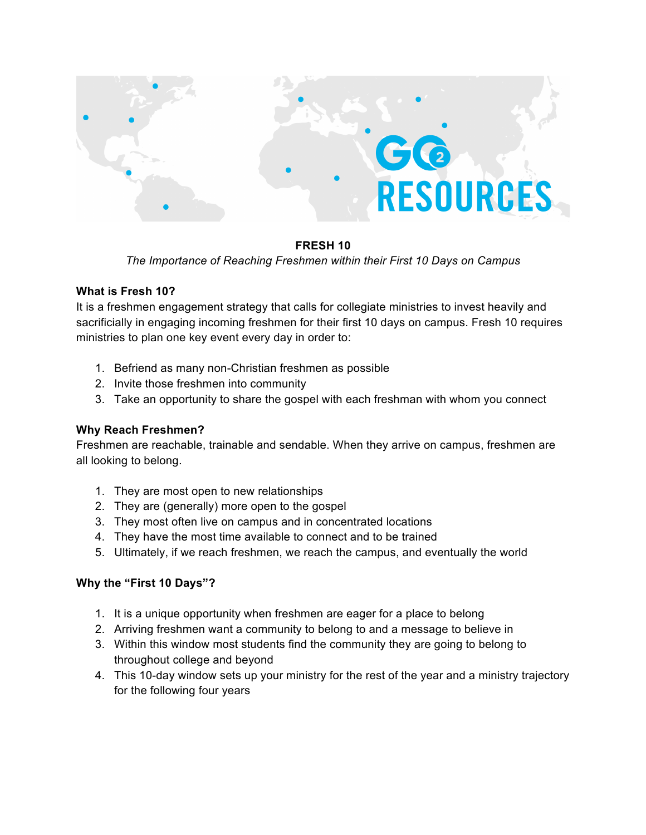

## **FRESH 10**

*The Importance of Reaching Freshmen within their First 10 Days on Campus*

## **What is Fresh 10?**

It is a freshmen engagement strategy that calls for collegiate ministries to invest heavily and sacrificially in engaging incoming freshmen for their first 10 days on campus. Fresh 10 requires ministries to plan one key event every day in order to:

- 1. Befriend as many non-Christian freshmen as possible
- 2. Invite those freshmen into community
- 3. Take an opportunity to share the gospel with each freshman with whom you connect

# **Why Reach Freshmen?**

Freshmen are reachable, trainable and sendable. When they arrive on campus, freshmen are all looking to belong.

- 1. They are most open to new relationships
- 2. They are (generally) more open to the gospel
- 3. They most often live on campus and in concentrated locations
- 4. They have the most time available to connect and to be trained
- 5. Ultimately, if we reach freshmen, we reach the campus, and eventually the world

# **Why the "First 10 Days"?**

- 1. It is a unique opportunity when freshmen are eager for a place to belong
- 2. Arriving freshmen want a community to belong to and a message to believe in
- 3. Within this window most students find the community they are going to belong to throughout college and beyond
- 4. This 10-day window sets up your ministry for the rest of the year and a ministry trajectory for the following four years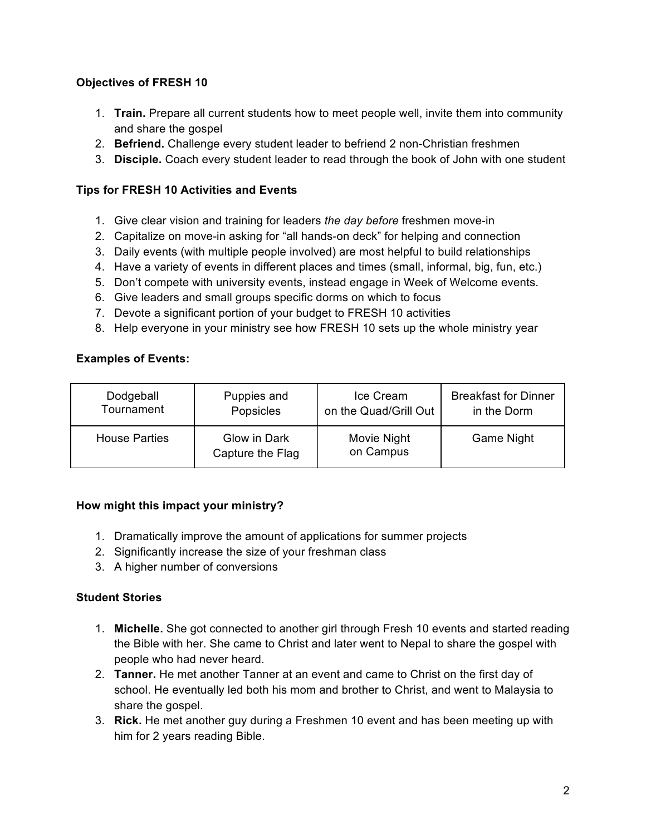# **Objectives of FRESH 10**

- 1. **Train.** Prepare all current students how to meet people well, invite them into community and share the gospel
- 2. **Befriend.** Challenge every student leader to befriend 2 non-Christian freshmen
- 3. **Disciple.** Coach every student leader to read through the book of John with one student

## **Tips for FRESH 10 Activities and Events**

- 1. Give clear vision and training for leaders *the day before* freshmen move-in
- 2. Capitalize on move-in asking for "all hands-on deck" for helping and connection
- 3. Daily events (with multiple people involved) are most helpful to build relationships
- 4. Have a variety of events in different places and times (small, informal, big, fun, etc.)
- 5. Don't compete with university events, instead engage in Week of Welcome events.
- 6. Give leaders and small groups specific dorms on which to focus
- 7. Devote a significant portion of your budget to FRESH 10 activities
- 8. Help everyone in your ministry see how FRESH 10 sets up the whole ministry year

## **Examples of Events:**

| Dodgeball            | Puppies and                      | Ice Cream                | <b>Breakfast for Dinner</b> |
|----------------------|----------------------------------|--------------------------|-----------------------------|
| Tournament           | Popsicles                        | on the Quad/Grill Out    | in the Dorm                 |
| <b>House Parties</b> | Glow in Dark<br>Capture the Flag | Movie Night<br>on Campus | Game Night                  |

### **How might this impact your ministry?**

- 1. Dramatically improve the amount of applications for summer projects
- 2. Significantly increase the size of your freshman class
- 3. A higher number of conversions

# **Student Stories**

- 1. **Michelle.** She got connected to another girl through Fresh 10 events and started reading the Bible with her. She came to Christ and later went to Nepal to share the gospel with people who had never heard.
- 2. **Tanner.** He met another Tanner at an event and came to Christ on the first day of school. He eventually led both his mom and brother to Christ, and went to Malaysia to share the gospel.
- 3. **Rick.** He met another guy during a Freshmen 10 event and has been meeting up with him for 2 years reading Bible.